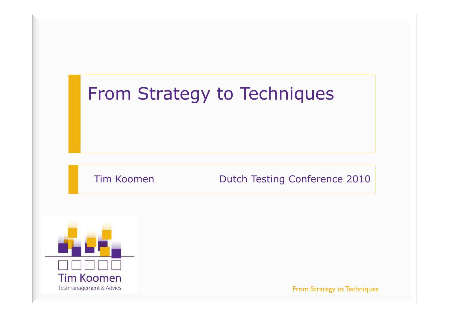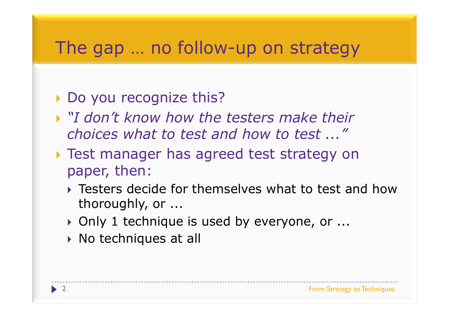# The gap ... no follow-up on strategy

### Do you recognize this?

- *"I don't know how the testers make their choices what to test and how to test ..."*
- Test manager has agreed test strategy on paper, then:
	- **Testers decide for themselves what to test and how**<br>thoroughly or thoroughly, or ...
	- ▶ Only 1 technique is used by everyone, or ...<br>、Ne techniques at all
	- $\blacktriangleright$  No techniques at all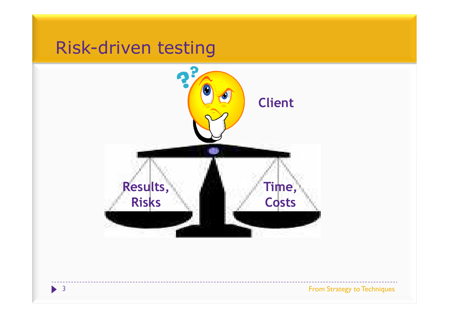# Risk-driven testing Đ **Client**æ **Results,Time, CostsRisks**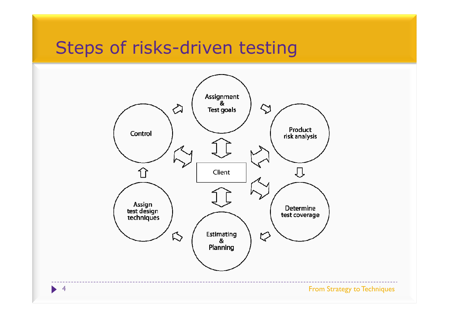# Steps of risks-driven testing

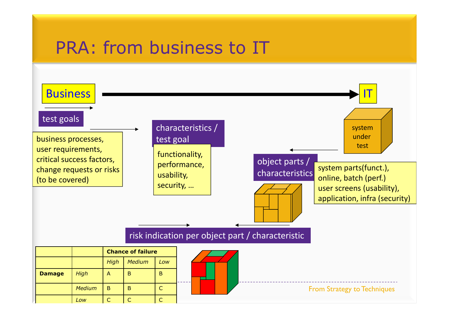# PRA: from business to IT

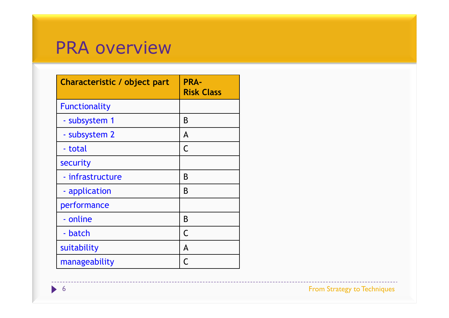### PRA overview

| Characteristic / object part | <b>PRA-</b><br><b>Risk Class</b> |
|------------------------------|----------------------------------|
| <b>Functionality</b>         |                                  |
| - subsystem 1                | B                                |
| - subsystem 2                | A                                |
| - total                      | C                                |
| security                     |                                  |
| - infrastructure             | B                                |
| - application                | B                                |
| performance                  |                                  |
| - online                     | B                                |
| - batch                      | C                                |
| suitability                  | A                                |
| manageability                | C                                |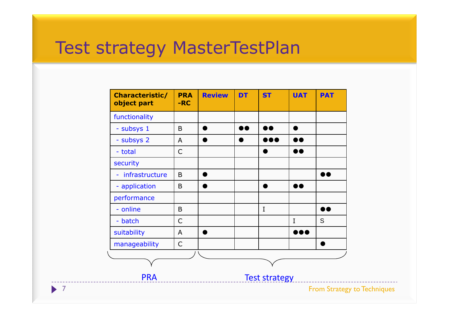## Test strategy MasterTestPlan

| Characteristic/<br>object part   | <b>PRA</b><br>$-RC$ | <b>Review</b> | <b>DT</b>        | <b>ST</b>               | <b>UAT</b>              | <b>PAT</b>                         |
|----------------------------------|---------------------|---------------|------------------|-------------------------|-------------------------|------------------------------------|
| functionality                    |                     |               |                  |                         |                         |                                    |
| - subsys 1                       | $\mathsf B$         | $\bullet$     | $\bullet\bullet$ | $\bullet\bullet$        | $\bullet$               |                                    |
| - subsys 2                       | A                   | $\bullet$     | $\bullet$        | $\bullet\bullet\bullet$ | $\bullet\bullet$        |                                    |
| - total                          | $\mathsf C$         |               |                  | $\bullet$               | $\bullet\bullet$        |                                    |
| security                         |                     |               |                  |                         |                         |                                    |
| infrastructure<br>$\blacksquare$ | $\mathsf B$         | ●             |                  |                         |                         | $\bullet\bullet$                   |
| - application                    | $\mathsf B$         | ●             |                  | $\bullet$               | $\bullet\bullet$        |                                    |
| performance                      |                     |               |                  |                         |                         |                                    |
| - online                         | $\mathsf B$         |               |                  | $\bf{I}$                |                         | $\bullet\bullet$                   |
| - batch                          | $\mathsf C$         |               |                  |                         | $\rm I$                 | S                                  |
| suitability                      | A                   | $\bullet$     |                  |                         | $\bullet\bullet\bullet$ |                                    |
| manageability                    | $\mathsf C$         |               |                  |                         |                         | $\bullet$                          |
|                                  |                     |               |                  |                         |                         |                                    |
|                                  |                     |               |                  |                         |                         |                                    |
| <b>PRA</b>                       |                     |               |                  | <b>Test strategy</b>    |                         |                                    |
|                                  |                     |               |                  |                         |                         | <b>From Strategy to Techniques</b> |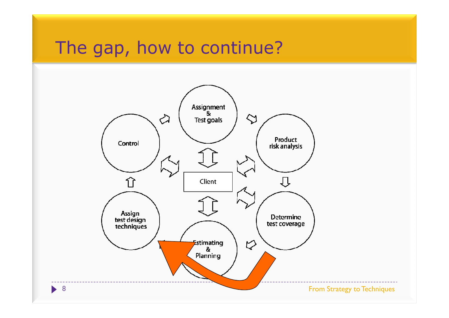# The gap, how to continue?

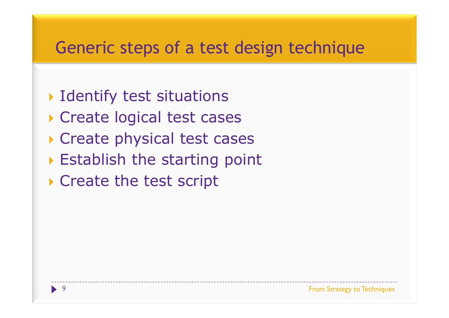#### Generic steps of a test design technique

- Identify test situations
- Create logical test cases
- Create physical test cases
- Establish the starting point
- ▶ Create the test script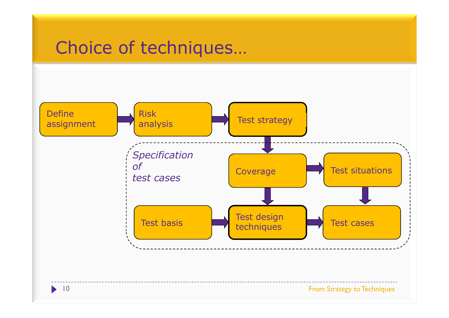### Choice of techniques…

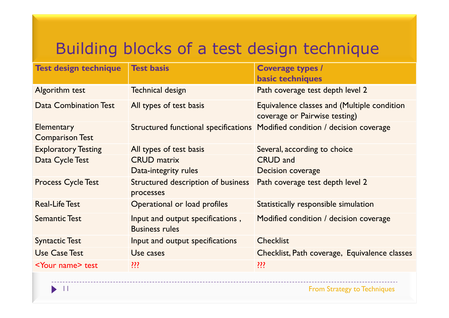### Building blocks of a test design technique

| <b>Test design technique</b>         | <b>Test basis</b>                                         | <b>Coverage types /</b><br><b>basic techniques</b>                           |
|--------------------------------------|-----------------------------------------------------------|------------------------------------------------------------------------------|
| Algorithm test                       | <b>Technical design</b>                                   | Path coverage test depth level 2                                             |
| <b>Data Combination Test</b>         | All types of test basis                                   | Equivalence classes and (Multiple condition<br>coverage or Pairwise testing) |
| Elementary<br><b>Comparison Test</b> | Structured functional specifications                      | Modified condition / decision coverage                                       |
| <b>Exploratory Testing</b>           | All types of test basis                                   | Several, according to choice                                                 |
| Data Cycle Test                      | <b>CRUD</b> matrix                                        | <b>CRUD and</b>                                                              |
|                                      | Data-integrity rules                                      | Decision coverage                                                            |
| <b>Process Cycle Test</b>            | Structured description of business<br>processes           | Path coverage test depth level 2                                             |
| <b>Real-Life Test</b>                | Operational or load profiles                              | Statistically responsible simulation                                         |
| <b>Semantic Test</b>                 | Input and output specifications,<br><b>Business rules</b> | Modified condition / decision coverage                                       |
| <b>Syntactic Test</b>                | Input and output specifications                           | <b>Checklist</b>                                                             |
| <b>Use Case Test</b>                 | Use cases                                                 | Checklist, Path coverage, Equivalence classes                                |
| <b><your name=""> test</your></b>    | ???                                                       | ???                                                                          |
|                                      |                                                           |                                                                              |

 $\blacktriangleright$  11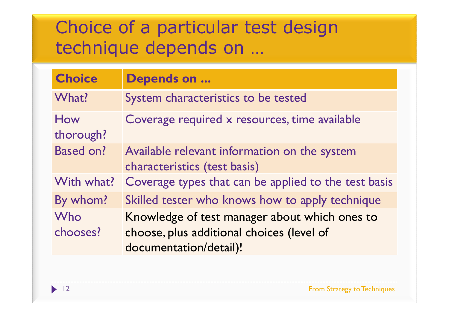## Choice of a particular test design technique depends on …

| <b>Choice</b>    | <b>Depends on </b>                                                           |
|------------------|------------------------------------------------------------------------------|
| What?            | System characteristics to be tested                                          |
| How<br>thorough? | Coverage required x resources, time available                                |
| <b>Based on?</b> | Available relevant information on the system<br>characteristics (test basis) |
| With what?       | Coverage types that can be applied to the test basis                         |
| By whom?         | Skilled tester who knows how to apply technique                              |
| Who              | Knowledge of test manager about which ones to                                |
| chooses?         | choose, plus additional choices (level of<br>documentation/detail)!          |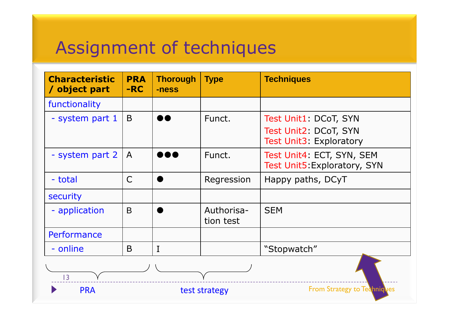## Assignment of techniques

| <b>Characteristic</b><br>/ object part | <b>PRA</b><br>$-RC$ | <b>Thorough</b><br>-ness | <b>Type</b>             | <b>Techniques</b>                                                         |  |  |  |
|----------------------------------------|---------------------|--------------------------|-------------------------|---------------------------------------------------------------------------|--|--|--|
| functionality                          |                     |                          |                         |                                                                           |  |  |  |
| - system part 1                        | B                   |                          | Funct.                  | Test Unit1: DCoT, SYN<br>Test Unit2: DCoT, SYN<br>Test Unit3: Exploratory |  |  |  |
| - system part 2                        | $\mathsf{A}$        | 188                      | Funct.                  | Test Unit4: ECT, SYN, SEM<br>Test Unit5: Exploratory, SYN                 |  |  |  |
| - total                                | $\mathsf{C}$        |                          | Regression              | Happy paths, DCyT                                                         |  |  |  |
| security                               |                     |                          |                         |                                                                           |  |  |  |
| - application                          | B                   |                          | Authorisa-<br>tion test | <b>SEM</b>                                                                |  |  |  |
| Performance                            |                     |                          |                         |                                                                           |  |  |  |
| - online                               | B                   | I                        |                         | "Stopwatch"                                                               |  |  |  |
| 3                                      |                     |                          |                         |                                                                           |  |  |  |
| <b>PRA</b>                             |                     |                          | test strategy           | <b>From Strategy to Techniques</b>                                        |  |  |  |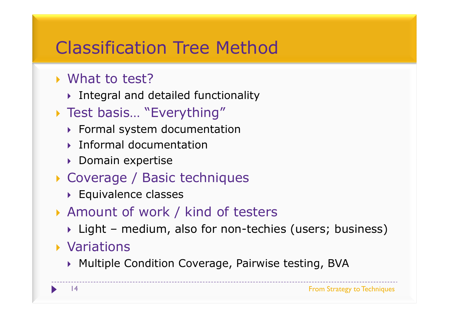# Classification Tree Method

# ▶ What to test?<br>N Integral and d

- Integral and detailed functionality<br>  $\begin{array}{ccc}\n\bullet & \bullet & \bullet & \bullet & \bullet & \bullet & \bullet & \bullet & \bullet\end{array}$
- ▶ Test basis… "Everything"
	- Formal system documentation
	- **Informal documentation**
	- ▶ Domain expertise
- Coverage / Basic techniques<br>Couvalence classes
	- **Equivalence classes**
- Amount of work / kind of testers<br>Night modium, also for non-tochic
	- ▶ Light medium, also for non-techies (users; business)<br>\{

### Variations

Multiple Condition Coverage, Pairwise testing, BVA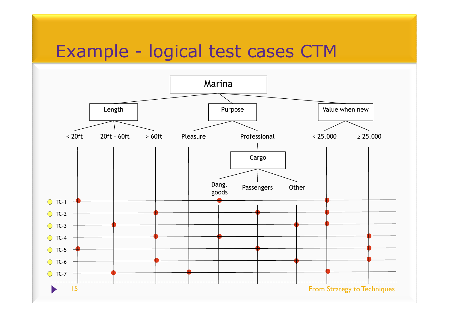# Example - logical test cases CTM

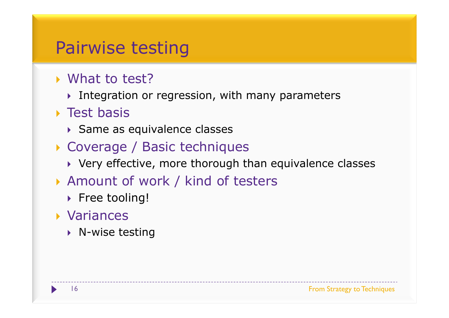### Pairwise testing

# ▶ What to test?

Integration or regression, with many parameters<br>Table 1

#### ▶ Test basis

- Same as equivalence classes
- Coverage / Basic techniques<br>Nerv effective more thorough th
	- $\blacktriangleright$  Very effective, more thorough than equivalence classes
- Amount of work / kind of testers<br>N Free tooling
	- $\blacktriangleright$  Free tooling!

#### Variances

▶ N-wise testing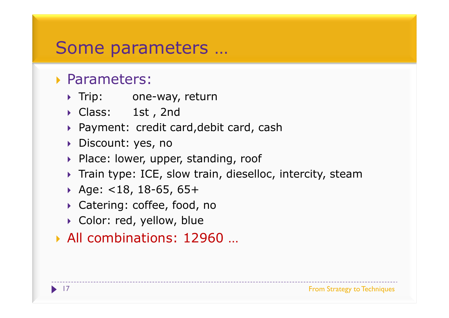# Some parameters …

#### Parameters:

- Trip: one-way, return<br>Class: 1st, 2nd
- → Class: 1st,2nd<br>、Payment: sredit.co
- Payment: credit card,debit card, cash<br>
Pisseunt: ves ne
- Discount: yes, no
- Place: lower, upper, standing, roof
- Train type: ICE, slow train, dieselloc, intercity, steam
- Age: <18, 18-65, 65+
- Catering: coffee, food, no
- $\blacktriangleright$  Color: red, yellow, blue

#### All combinations: 12960 …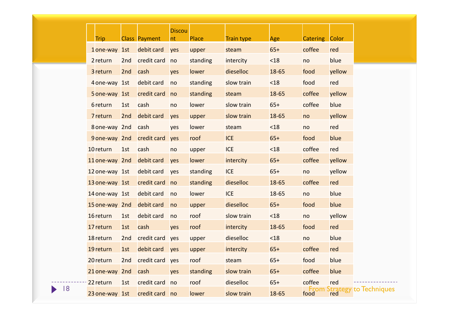|   | <b>Trip</b>               |     | <b>Class Payment</b>      | <b>Discou</b><br>nt | <b>Place</b> | <b>Train type</b> | Age       | Catering Color |                               |
|---|---------------------------|-----|---------------------------|---------------------|--------------|-------------------|-----------|----------------|-------------------------------|
|   | 1 one-way 1st             |     | debit card                | yes                 | upper        | steam             | $65+$     | coffee         | red                           |
|   | 2 return                  |     | 2nd credit card no        |                     | standing     | intercity         | $18$      | no             | blue                          |
|   | 3 return                  | 2nd | cash                      | yes                 | lower        | dieselloc         | 18-65     | food           | yellow                        |
|   | 4 one-way 1st             |     | debit card                | no                  | standing     | slow train        | $18$      | food           | red                           |
|   | 5 one-way 1st             |     | credit card               | no                  | standing     | steam             | $18 - 65$ | coffee         | yellow                        |
|   | 6 return                  | 1st | cash                      | no                  | lower        | slow train        | $65+$     | coffee         | blue                          |
|   | 7 return                  | 2nd | debit card                | yes                 | upper        | slow train        | $18 - 65$ | no             | yellow                        |
|   | 8 one-way 2nd             |     | cash                      | yes                 | lower        | steam             | $18$      | no             | red                           |
|   |                           |     | 9 one-way 2nd credit card | yes                 | roof         | <b>ICE</b>        | $65+$     | food           | blue                          |
|   | 10 return                 | 1st | cash                      | no                  | upper        | <b>ICE</b>        | $18$      | coffee         | red                           |
|   | 11 one-way 2nd debit card |     |                           | yes                 | lower        | intercity         | $65+$     | coffee         | yellow                        |
|   | 12 one-way 1st            |     | debit card                | yes                 | standing     | <b>ICE</b>        | $65+$     | no             | yellow                        |
|   | 13 one-way 1st            |     | credit card no            |                     | standing     | dieselloc         | 18-65     | coffee         | red                           |
|   | 14 one-way 1st            |     | debit card                | no                  | lower        | <b>ICE</b>        | $18 - 65$ | no             | blue                          |
|   | 15 one-way 2nd            |     | debit card                | no                  | upper        | dieselloc         | $65+$     | food           | blue                          |
|   | 16 return                 | 1st | debit card                | no                  | roof         | slow train        | $18$      | no             | yellow                        |
|   | 17 return                 | 1st | cash                      | yes                 | roof         | intercity         | 18-65     | food           | red                           |
|   | 18 return                 | 2nd | credit card               | yes                 | upper        | dieselloc         | $18$      | no             | blue                          |
|   | 19 return                 | 1st | debit card                | yes                 | upper        | intercity         | $65+$     | coffee         | red                           |
|   | 20 return                 |     | 2nd credit card yes       |                     | roof         | steam             | $65+$     | food           | blue                          |
|   | 21 one-way 2nd            |     | cash                      | yes                 | standing     | slow train        | $65+$     | coffee         | blue                          |
|   | 22 return                 | 1st | credit card no            |                     | roof         | dieselloc         | $65+$     | coffee         | red                           |
| 8 | 23 one-way 1st            |     | credit card no            |                     | lower        | slow train        | 18-65     | From<br>food   | <b>Strategy to Techniques</b> |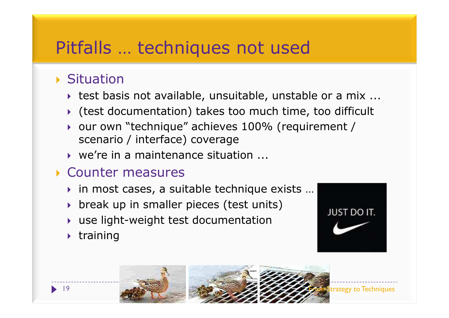# Pitfalls … techniques not used

#### ▶ Situation

- test basis not available, unsuitable, unstable or a mix ...<br>... (test desumentation) takes tes much time, tes difficult
- Ctest documentation) takes too much time, too difficult<br>Cour eur liteabrique" achieves 100% (requirement /
- our own "technique" achieves 100% (requirement / scenario / interface) coverage scenario / interface) coverage
- ▶ we're in a maintenance situation ...

#### Counter measures

- in most cases, a suitable technique exists ...<br>↓ hreak un in emaller pieses (test unite)
- **break up in smaller pieces (test units)**<br>between light weight test desumentation
- **DE use light-weight test documentation**<br>Literining
- $\blacktriangleright$  training



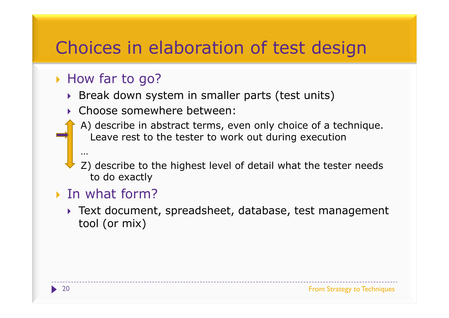### Choices in elaboration of test design

#### ▶ How far to go?

- Break down system in smaller parts (test units)
- Choose somewhere between:
	- A) describe in abstract terms, even only choice of a technique. Leave rest to the tester to work out during execution
	- Z) describe to the highest level of detail what the tester needs to do exactly

#### ▶ In what form?

…

 Text document, spreadsheet, database, test management tool (or mix)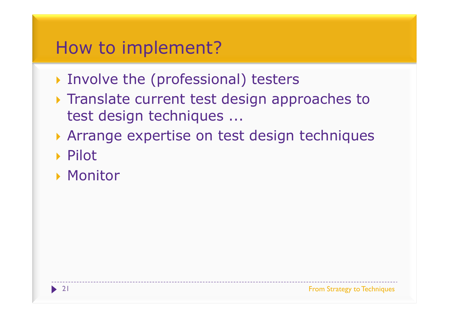### How to implement?

- Involve the (professional) testers
- Translate current test design approaches to<br>Test design techniques test design techniques ...
- Arrange expertise on test design techniques
- ▶ Pilot
- ▶ Monitor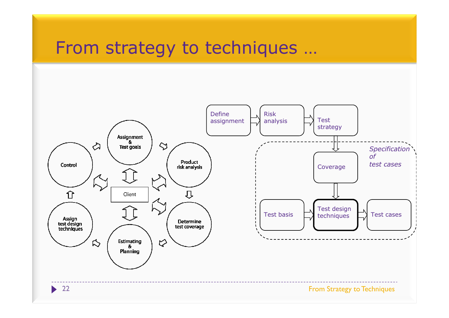#### From strategy to techniques …

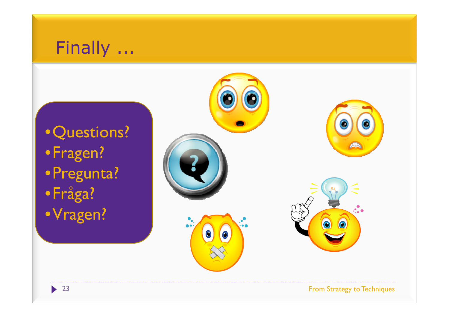#### Finally<u>. . . .</u>

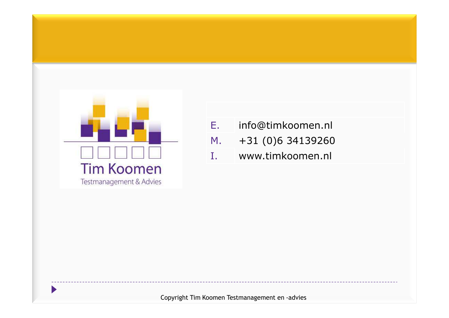

- E. info@timkoomen.nl M.+31 (0)6 34139260
- www.timkoomen.nl I.

Copyright Tim Koomen Testmanagement en -advies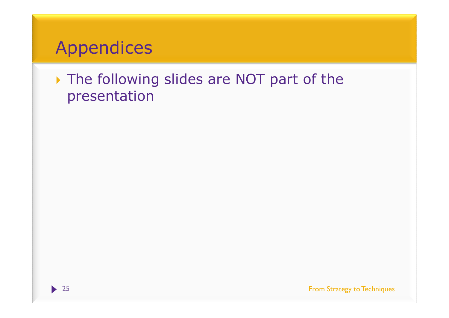### Appendices

#### The following slides are NOT part of the<br>presentation presentation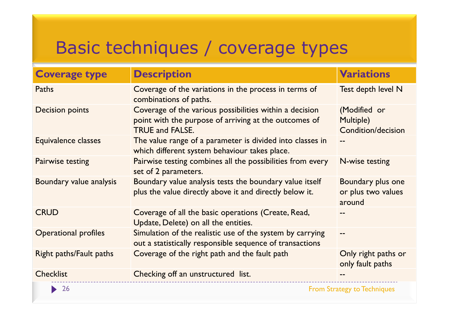# Basic techniques / coverage types

| <b>Coverage type</b>        | <b>Description</b>                                                                                                                         | <b>Variations</b>                                 |
|-----------------------------|--------------------------------------------------------------------------------------------------------------------------------------------|---------------------------------------------------|
| Paths                       | Coverage of the variations in the process in terms of<br>combinations of paths.                                                            | Test depth level N                                |
| <b>Decision points</b>      | Coverage of the various possibilities within a decision<br>point with the purpose of arriving at the outcomes of<br><b>TRUE and FALSE.</b> | (Modified or<br>Multiple)<br>Condition/decision   |
| Equivalence classes         | The value range of a parameter is divided into classes in<br>which different system behaviour takes place.                                 |                                                   |
| <b>Pairwise testing</b>     | Pairwise testing combines all the possibilities from every<br>set of 2 parameters.                                                         | <b>N-wise testing</b>                             |
| Boundary value analysis     | Boundary value analysis tests the boundary value itself<br>plus the value directly above it and directly below it.                         | Boundary plus one<br>or plus two values<br>around |
| <b>CRUD</b>                 | Coverage of all the basic operations (Create, Read,<br>Update, Delete) on all the entities.                                                |                                                   |
| <b>Operational profiles</b> | Simulation of the realistic use of the system by carrying<br>out a statistically responsible sequence of transactions                      |                                                   |
| Right paths/Fault paths     | Coverage of the right path and the fault path                                                                                              | Only right paths or<br>only fault paths           |
| <b>Checklist</b>            | Checking off an unstructured list.                                                                                                         |                                                   |
| <b>26</b>                   |                                                                                                                                            | <b>From Strategy to Techniques</b>                |